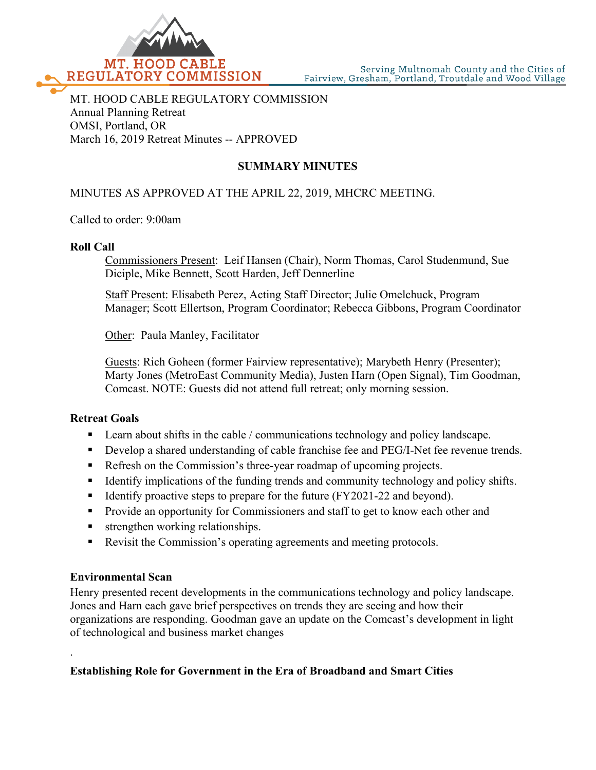

## MT. HOOD CABLE REGULATORY COMMISSION Annual Planning Retreat OMSI, Portland, OR March 16, 2019 Retreat Minutes -- APPROVED

# **SUMMARY MINUTES**

## MINUTES AS APPROVED AT THE APRIL 22, 2019, MHCRC MEETING.

Called to order: 9:00am

#### **Roll Call**

Commissioners Present: Leif Hansen (Chair), Norm Thomas, Carol Studenmund, Sue Diciple, Mike Bennett, Scott Harden, Jeff Dennerline

Staff Present: Elisabeth Perez, Acting Staff Director; Julie Omelchuck, Program Manager; Scott Ellertson, Program Coordinator; Rebecca Gibbons, Program Coordinator

Other: Paula Manley, Facilitator

Guests: Rich Goheen (former Fairview representative); Marybeth Henry (Presenter); Marty Jones (MetroEast Community Media), Justen Harn (Open Signal), Tim Goodman, Comcast. NOTE: Guests did not attend full retreat; only morning session.

#### **Retreat Goals**

- **Learn about shifts in the cable / communications technology and policy landscape.**
- Develop a shared understanding of cable franchise fee and PEG/I-Net fee revenue trends.
- Refresh on the Commission's three-year roadmap of upcoming projects.
- Identify implications of the funding trends and community technology and policy shifts.
- Identify proactive steps to prepare for the future (FY2021-22 and beyond).
- **Provide an opportunity for Commissioners and staff to get to know each other and**
- **strengthen working relationships.**
- Revisit the Commission's operating agreements and meeting protocols.

#### **Environmental Scan**

.

Henry presented recent developments in the communications technology and policy landscape. Jones and Harn each gave brief perspectives on trends they are seeing and how their organizations are responding. Goodman gave an update on the Comcast's development in light of technological and business market changes

## **Establishing Role for Government in the Era of Broadband and Smart Cities**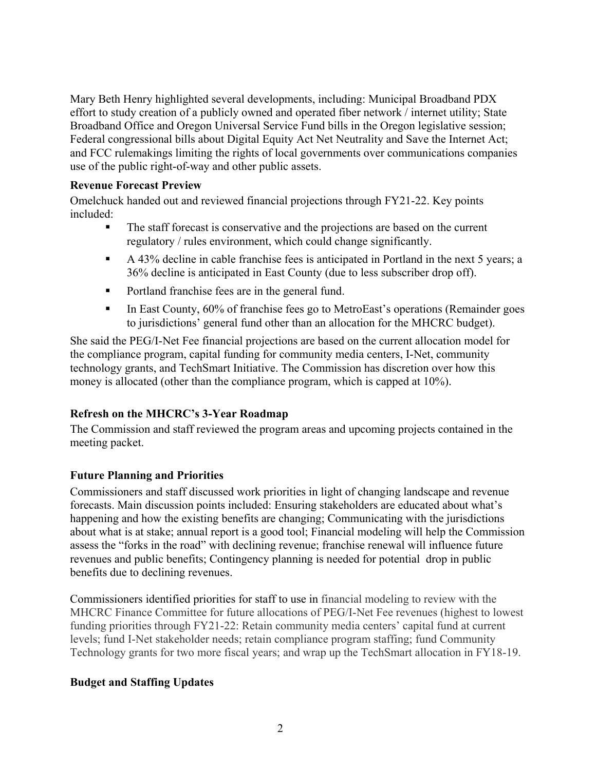Mary Beth Henry highlighted several developments, including: Municipal Broadband PDX effort to study creation of a publicly owned and operated fiber network / internet utility; State Broadband Office and Oregon Universal Service Fund bills in the Oregon legislative session; Federal congressional bills about Digital Equity Act Net Neutrality and Save the Internet Act; and FCC rulemakings limiting the rights of local governments over communications companies use of the public right-of-way and other public assets.

#### **Revenue Forecast Preview**

Omelchuck handed out and reviewed financial projections through FY21-22. Key points included:

- The staff forecast is conservative and the projections are based on the current regulatory / rules environment, which could change significantly.
- A 43% decline in cable franchise fees is anticipated in Portland in the next 5 years; a 36% decline is anticipated in East County (due to less subscriber drop off).
- Portland franchise fees are in the general fund.
- In East County, 60% of franchise fees go to MetroEast's operations (Remainder goes to jurisdictions' general fund other than an allocation for the MHCRC budget).

She said the PEG/I-Net Fee financial projections are based on the current allocation model for the compliance program, capital funding for community media centers, I-Net, community technology grants, and TechSmart Initiative. The Commission has discretion over how this money is allocated (other than the compliance program, which is capped at 10%).

## **Refresh on the MHCRC's 3-Year Roadmap**

The Commission and staff reviewed the program areas and upcoming projects contained in the meeting packet.

## **Future Planning and Priorities**

Commissioners and staff discussed work priorities in light of changing landscape and revenue forecasts. Main discussion points included: Ensuring stakeholders are educated about what's happening and how the existing benefits are changing; Communicating with the jurisdictions about what is at stake; annual report is a good tool; Financial modeling will help the Commission assess the "forks in the road" with declining revenue; franchise renewal will influence future revenues and public benefits; Contingency planning is needed for potential drop in public benefits due to declining revenues.

Commissioners identified priorities for staff to use in financial modeling to review with the MHCRC Finance Committee for future allocations of PEG/I-Net Fee revenues (highest to lowest funding priorities through FY21-22: Retain community media centers' capital fund at current levels; fund I-Net stakeholder needs; retain compliance program staffing; fund Community Technology grants for two more fiscal years; and wrap up the TechSmart allocation in FY18-19.

## **Budget and Staffing Updates**